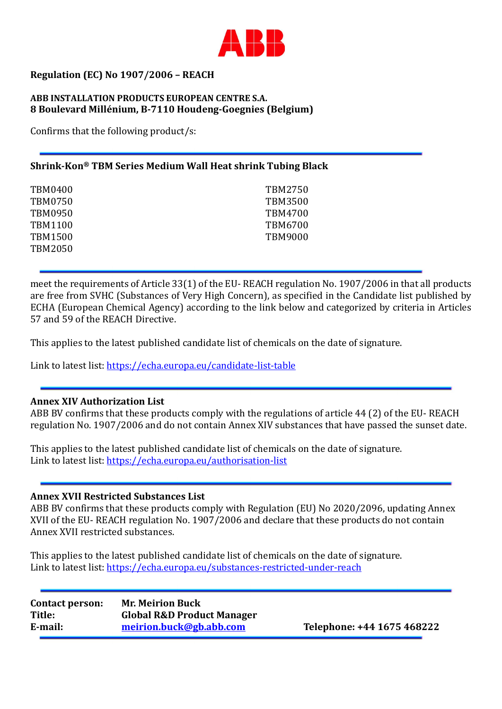

# Regulation (EC) No 1907/2006 – REACH

### ABB INSTALLATION PRODUCTS EUROPEAN CENTRE S.A. 8 Boulevard Millénium, B-7110 Houdeng-Goegnies (Belgium)

Confirms that the following product/s:

# Shrink-Kon® TBM Series Medium Wall Heat shrink Tubing Black

| TBM0400 | TBM2750        |
|---------|----------------|
| TBM0750 | <b>TBM3500</b> |
| TBM0950 | TBM4700        |
| TBM1100 | TBM6700        |
| TBM1500 | <b>TBM9000</b> |
| TBM2050 |                |

meet the requirements of Article 33(1) of the EU- REACH regulation No. 1907/2006 in that all products are free from SVHC (Substances of Very High Concern), as specified in the Candidate list published by ECHA (European Chemical Agency) according to the link below and categorized by criteria in Articles 57 and 59 of the REACH Directive.

This applies to the latest published candidate list of chemicals on the date of signature.

Link to latest list: https://echa.europa.eu/candidate-list-table

#### Annex XIV Authorization List

ABB BV confirms that these products comply with the regulations of article 44 (2) of the EU- REACH regulation No. 1907/2006 and do not contain Annex XIV substances that have passed the sunset date.

This applies to the latest published candidate list of chemicals on the date of signature. Link to latest list: https://echa.europa.eu/authorisation-list

## Annex XVII Restricted Substances List

ABB BV confirms that these products comply with Regulation (EU) No 2020/2096, updating Annex XVII of the EU- REACH regulation No. 1907/2006 and declare that these products do not contain Annex XVII restricted substances.

This applies to the latest published candidate list of chemicals on the date of signature. Link to latest list: https://echa.europa.eu/substances-restricted-under-reach

| <b>Contact person:</b> | <b>Mr. Meirion Buck</b>               |
|------------------------|---------------------------------------|
| Title:                 | <b>Global R&amp;D Product Manager</b> |
| E-mail:                | meirion.buck@gb.abb.com               |

Telephone: +44 1675 468222